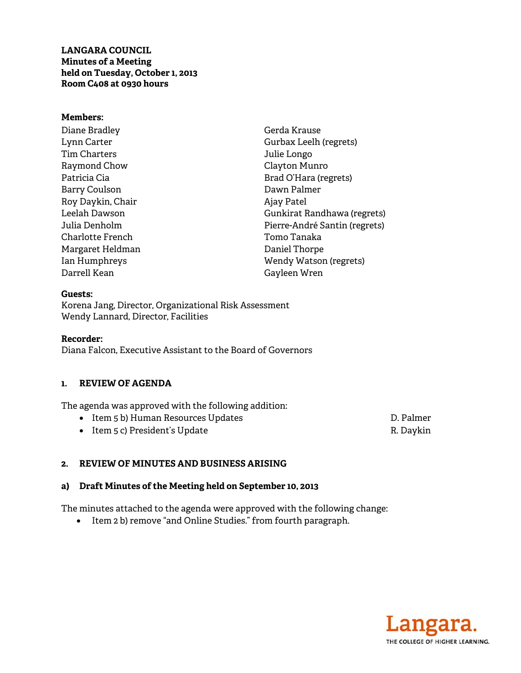**LANGARA COUNCIL Minutes of a Meeting held on Tuesday, October 1, 2013 Room C408 at 0930 hours** 

#### **Members:**

Diane Bradley Lynn Carter Tim Charters Raymond Chow Patricia Cia Barry Coulson Roy Daykin, Chair Leelah Dawson Julia Denholm Charlotte French Margaret Heldman Ian Humphreys Darrell Kean

Gerda Krause Gurbax Leelh (regrets) Julie Longo Clayton Munro Brad O'Hara (regrets) Dawn Palmer Ajay Patel Gunkirat Randhawa (regrets) Pierre-André Santin (regrets) Tomo Tanaka Daniel Thorpe Wendy Watson (regrets) Gayleen Wren

#### **Guests:**

Korena Jang, Director, Organizational Risk Assessment Wendy Lannard, Director, Facilities

#### **Recorder:**

Diana Falcon, Executive Assistant to the Board of Governors

#### **1. REVIEW OF AGENDA**

The agenda was approved with the following addition:

- Item 5 b) Human Resources Updates **D. Palmer**
- Item 5 c) President's Update R. Daykin

### **2. REVIEW OF MINUTES AND BUSINESS ARISING**

#### **a) Draft Minutes of the Meeting held on September 10, 2013**

The minutes attached to the agenda were approved with the following change:

• Item 2 b) remove "and Online Studies." from fourth paragraph.

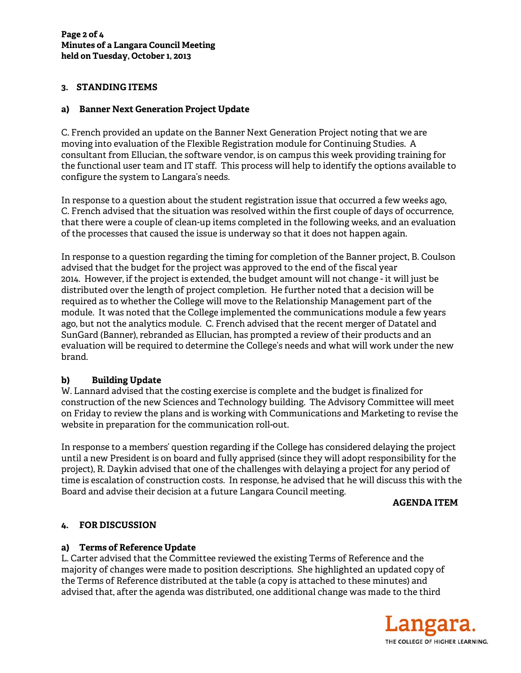### **3. STANDING ITEMS**

### **a) Banner Next Generation Project Update**

C. French provided an update on the Banner Next Generation Project noting that we are moving into evaluation of the Flexible Registration module for Continuing Studies. A consultant from Ellucian, the software vendor, is on campus this week providing training for the functional user team and IT staff. This process will help to identify the options available to configure the system to Langara's needs.

In response to a question about the student registration issue that occurred a few weeks ago, C. French advised that the situation was resolved within the first couple of days of occurrence, that there were a couple of clean-up items completed in the following weeks, and an evaluation of the processes that caused the issue is underway so that it does not happen again.

In response to a question regarding the timing for completion of the Banner project, B. Coulson advised that the budget for the project was approved to the end of the fiscal year 2014. However, if the project is extended, the budget amount will not change - it will just be distributed over the length of project completion. He further noted that a decision will be required as to whether the College will move to the Relationship Management part of the module. It was noted that the College implemented the communications module a few years ago, but not the analytics module. C. French advised that the recent merger of Datatel and SunGard (Banner), rebranded as Ellucian, has prompted a review of their products and an evaluation will be required to determine the College's needs and what will work under the new brand.

## **b) Building Update**

W. Lannard advised that the costing exercise is complete and the budget is finalized for construction of the new Sciences and Technology building. The Advisory Committee will meet on Friday to review the plans and is working with Communications and Marketing to revise the website in preparation for the communication roll-out.

In response to a members' question regarding if the College has considered delaying the project until a new President is on board and fully apprised (since they will adopt responsibility for the project), R. Daykin advised that one of the challenges with delaying a project for any period of time is escalation of construction costs. In response, he advised that he will discuss this with the Board and advise their decision at a future Langara Council meeting.

### **AGENDA ITEM**

## **4. FOR DISCUSSION**

### **a) Terms of Reference Update**

L. Carter advised that the Committee reviewed the existing Terms of Reference and the majority of changes were made to position descriptions. She highlighted an updated copy of the Terms of Reference distributed at the table (a copy is attached to these minutes) and advised that, after the agenda was distributed, one additional change was made to the third

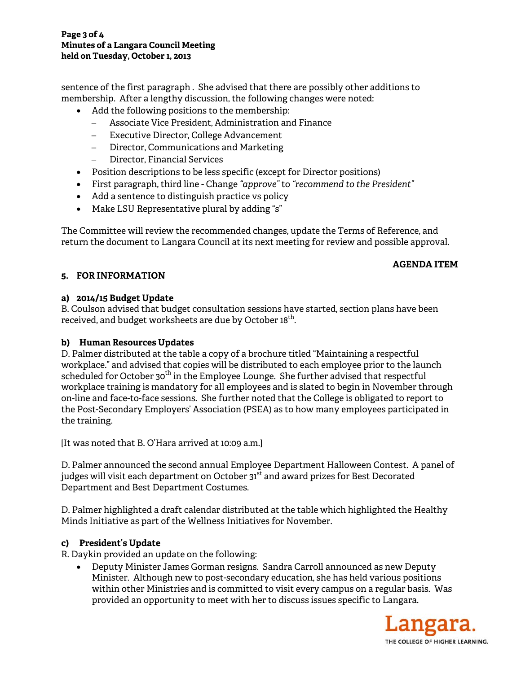#### **Page 3 of 4 Minutes of a Langara Council Meeting held on Tuesday, October 1, 2013**

sentence of the first paragraph . She advised that there are possibly other additions to membership. After a lengthy discussion, the following changes were noted:

- Add the following positions to the membership:
	- − Associate Vice President, Administration and Finance
	- Executive Director, College Advancement
	- − Director, Communications and Marketing
	- − Director, Financial Services
- Position descriptions to be less specific (except for Director positions)
- First paragraph, third line Change *"approve"* to *"recommend to the President"*
- Add a sentence to distinguish practice vs policy
- Make LSU Representative plural by adding "s"

The Committee will review the recommended changes, update the Terms of Reference, and return the document to Langara Council at its next meeting for review and possible approval.

## **AGENDA ITEM**

# **5. FOR INFORMATION**

## **a) 2014/15 Budget Update**

B. Coulson advised that budget consultation sessions have started, section plans have been received, and budget worksheets are due by October 18<sup>th</sup>.

## **b) Human Resources Updates**

D. Palmer distributed at the table a copy of a brochure titled "Maintaining a respectful workplace." and advised that copies will be distributed to each employee prior to the launch scheduled for October 30<sup>th</sup> in the Employee Lounge. She further advised that respectful workplace training is mandatory for all employees and is slated to begin in November through on-line and face-to-face sessions. She further noted that the College is obligated to report to the Post-Secondary Employers' Association (PSEA) as to how many employees participated in the training.

[It was noted that B. O'Hara arrived at 10:09 a.m.]

D. Palmer announced the second annual Employee Department Halloween Contest. A panel of judges will visit each department on October 31<sup>st</sup> and award prizes for Best Decorated Department and Best Department Costumes.

D. Palmer highlighted a draft calendar distributed at the table which highlighted the Healthy Minds Initiative as part of the Wellness Initiatives for November.

## **c) President's Update**

R. Daykin provided an update on the following:

• Deputy Minister James Gorman resigns. Sandra Carroll announced as new Deputy Minister. Although new to post-secondary education, she has held various positions within other Ministries and is committed to visit every campus on a regular basis. Was provided an opportunity to meet with her to discuss issues specific to Langara.